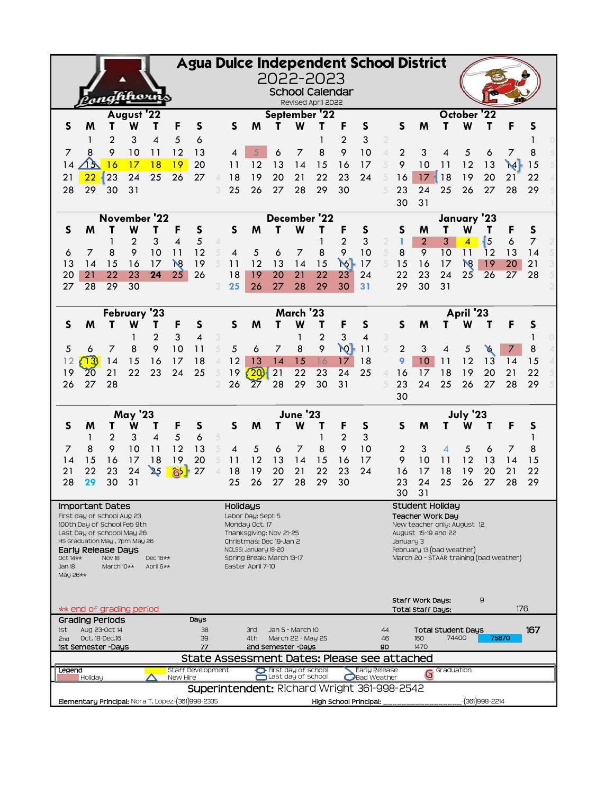| Agua Dulce Independent School District                                                                                                                                              |                                                                                               |                     |                     |                |                               |                          |                     |                |                                                    |          |                                           |                                     |                |                                     |                                            |                          |                                  |                                            |                 |          |              |                      |  |
|-------------------------------------------------------------------------------------------------------------------------------------------------------------------------------------|-----------------------------------------------------------------------------------------------|---------------------|---------------------|----------------|-------------------------------|--------------------------|---------------------|----------------|----------------------------------------------------|----------|-------------------------------------------|-------------------------------------|----------------|-------------------------------------|--------------------------------------------|--------------------------|----------------------------------|--------------------------------------------|-----------------|----------|--------------|----------------------|--|
|                                                                                                                                                                                     |                                                                                               |                     |                     |                |                               |                          |                     |                |                                                    |          |                                           | 2022-2023<br><b>School Calendar</b> |                |                                     |                                            |                          |                                  |                                            |                 |          |              |                      |  |
|                                                                                                                                                                                     |                                                                                               |                     | hhorr               |                |                               |                          |                     |                |                                                    |          |                                           | Revised April 2022                  |                |                                     |                                            |                          |                                  |                                            |                 |          |              |                      |  |
| August '22<br>September '22<br>October '22                                                                                                                                          |                                                                                               |                     |                     |                |                               |                          |                     |                |                                                    |          |                                           |                                     |                |                                     |                                            |                          |                                  |                                            |                 |          |              |                      |  |
| S                                                                                                                                                                                   | M                                                                                             | т                   | W                   | т              | F                             | S                        |                     | $\mathsf{S}$   | M                                                  | т        | W                                         |                                     | F              | S                                   |                                            | $\mathsf{S}$             | M                                | т                                          | W               | т        | F            | S                    |  |
| 7                                                                                                                                                                                   | 1<br>8                                                                                        | $\overline{2}$<br>9 | 3<br>10             | 4<br>11        | 5<br>12                       | 6<br>13                  |                     | 4              |                                                    | 6        | 7                                         | 8                                   | 2<br>9         | 3<br>10                             | $\overline{2}$<br>$\overline{\mathcal{A}}$ | $\overline{2}$           | 3                                | 4                                          | 5               | 6        | 7            | 8                    |  |
| 14                                                                                                                                                                                  |                                                                                               | 16                  | 17                  | 18             | 19                            | 20                       |                     | 11             | 12                                                 | 13       | 14                                        | 15                                  | 16             | 17                                  | 5                                          | 9                        | 10                               | 11                                         | 12              | 13       | $\mathsf{M}$ | 15                   |  |
| 21                                                                                                                                                                                  | 22                                                                                            | 23                  | 24                  | 25             | 26                            | 27                       |                     | 18             | 19                                                 | 20       | 21                                        | 22                                  | 23             | 24                                  | 5                                          | 16                       | 17                               | 18                                         | 19              | 20       | 21           | 22                   |  |
| 28                                                                                                                                                                                  | 29                                                                                            | 30                  | 31                  |                |                               |                          | 3                   | 25             | 26                                                 | 27       | 28                                        | 29                                  | 30             |                                     | 5                                          | 23                       | 24                               | 25                                         | 26              | 27       | 28           | 29                   |  |
|                                                                                                                                                                                     |                                                                                               |                     |                     |                |                               |                          |                     |                |                                                    |          |                                           |                                     |                |                                     |                                            | 30                       | 31                               |                                            |                 |          |              |                      |  |
|                                                                                                                                                                                     |                                                                                               |                     |                     | November '22   |                               |                          |                     |                |                                                    |          |                                           | December '22                        |                |                                     |                                            |                          |                                  |                                            | January '23     |          |              |                      |  |
| $\mathsf{S}$                                                                                                                                                                        | M                                                                                             |                     | W                   | Τ              | F<br>4                        | S                        |                     | S              | M                                                  | т        | W                                         | Τ                                   | F              | S                                   |                                            | S                        | M                                | т                                          | W               | т        | F            | S                    |  |
| 6                                                                                                                                                                                   | 7                                                                                             | 8                   | $\overline{2}$<br>9 | 3<br>10        | 11                            | 5<br>12                  | 4<br>5              | $\overline{4}$ | 5                                                  | 6        | $\overline{7}$                            | 8                                   | 2<br>9         | 3<br>10                             | 2<br>5                                     | 8                        | $\overline{2}$<br>$\overline{9}$ | 3<br>10                                    | 4<br>11         | 5<br>12  | 6<br>13      | $\overline{7}$<br>14 |  |
| 13                                                                                                                                                                                  | 14                                                                                            | 15                  | 16                  | 17             | $\mathcal{R}$                 | 19                       |                     | 11             | 12                                                 | 13       | 14                                        | 15                                  | $\aleph$       | 17                                  | 5                                          | 15                       | 16                               | 17                                         | $\mathcal{R}$   | 19       | 20           | 21                   |  |
| 20                                                                                                                                                                                  | 21                                                                                            | 22                  | 23                  | 24             | 25                            | 26                       |                     | 18             | 19                                                 | 20       | 21                                        | 22                                  | 23             | 24                                  |                                            | 22                       | 23                               | 24                                         | 25              | 26       | 27           | 28                   |  |
| 27                                                                                                                                                                                  | 28                                                                                            | 29                  | 30                  |                |                               |                          |                     | 25             | 26                                                 | 27       | 28                                        | 29                                  | 30             | 31                                  |                                            | 29                       | 30                               | 31                                         |                 |          |              |                      |  |
|                                                                                                                                                                                     | March '23<br>April '23<br>February '23                                                        |                     |                     |                |                               |                          |                     |                |                                                    |          |                                           |                                     |                |                                     |                                            |                          |                                  |                                            |                 |          |              |                      |  |
| S                                                                                                                                                                                   | M                                                                                             | т                   | W                   | Τ              | F                             | S                        |                     | S              | M                                                  |          | W                                         |                                     | F              | S                                   |                                            | S                        | M                                | т                                          | W               |          | F            | S                    |  |
|                                                                                                                                                                                     |                                                                                               |                     | 1                   | $\overline{2}$ | 3                             | $\overline{\mathcal{A}}$ | 3                   |                |                                                    |          | 1                                         | $\overline{2}$                      | 3              | 4                                   | 3                                          |                          |                                  |                                            |                 |          |              |                      |  |
| 5                                                                                                                                                                                   | 6                                                                                             | 7                   | 8                   | 9              | 10                            | 11                       | 5                   | 5              | 6                                                  | 7        | 8                                         | 9                                   | Юŀ             | 11                                  | 5                                          | $\overline{2}$           | 3                                | 4                                          | 5               | X        |              | 8                    |  |
| 12                                                                                                                                                                                  | 13)                                                                                           | 14                  | 15                  | 16             | 17                            | 18                       | 4                   | 12             | 13                                                 | 14       | 15                                        | 16                                  | 17             | 18                                  |                                            | 9                        | 10                               | 11                                         | 12              | 13       | 14           | 15                   |  |
| 19<br>26                                                                                                                                                                            | 20<br>27                                                                                      | 21<br>28            | 22                  | 23             | 24                            | 25                       | 5<br>$\mathfrak{D}$ | 19<br>26       | 20<br>$\overline{27}$                              | 21<br>28 | 22<br>29                                  | $\overline{23}$<br>30               | 24<br>31       | 25                                  | 4<br>5                                     | 16<br>23                 | 17<br>24                         | 18<br>25                                   | 19<br>26        | 20<br>27 | 21<br>28     | 22<br>29             |  |
|                                                                                                                                                                                     |                                                                                               |                     |                     |                |                               |                          |                     |                |                                                    |          |                                           |                                     |                |                                     |                                            | 30                       |                                  |                                            |                 |          |              |                      |  |
|                                                                                                                                                                                     |                                                                                               |                     | <b>May '23</b>      |                |                               |                          |                     |                |                                                    |          | <b>June '23</b>                           |                                     |                |                                     |                                            |                          |                                  |                                            | <b>July '23</b> |          |              |                      |  |
| S                                                                                                                                                                                   | M                                                                                             |                     | W                   |                | F                             | S                        |                     | S              | M                                                  | т        | W                                         |                                     | F              | S                                   |                                            | S                        | M                                | т                                          | w               | Τ        | F            | S                    |  |
|                                                                                                                                                                                     | 1                                                                                             | 2                   | 3                   | 4              | 5                             | 6                        | 5                   |                |                                                    |          |                                           | 1                                   | $\overline{2}$ | 3                                   |                                            |                          |                                  |                                            |                 |          |              | 1                    |  |
| 7                                                                                                                                                                                   | 8                                                                                             | 9                   | 10                  | 11             | 12                            | 13                       | 5                   | 4              | 5                                                  | 6        | 7                                         | 8                                   | 9              | 10                                  |                                            | 2                        | 3                                | 4                                          | 5               | 6        | 7            | 8                    |  |
| 14<br>21                                                                                                                                                                            | 15<br>22                                                                                      | 16<br>23            | 17<br>24            | 18<br>25       | 19<br>G <sub>5</sub>          | 20<br>27                 |                     | 11<br>18       | 12<br>19                                           | 13<br>20 | 14<br>21                                  | 15<br>22                            | 16<br>23       | 17<br>24                            |                                            | 9<br>16                  | 10<br>17                         | 11<br>18                                   | 12<br>19        | 13<br>20 | 14<br>21     | 15<br>22             |  |
| 28                                                                                                                                                                                  | 29                                                                                            | 30                  | 31                  |                |                               |                          |                     | 25             | 26                                                 | 27       | 28                                        | 29                                  | 30             |                                     |                                            | 23                       | 24                               | 25                                         | 26              | 27       | 28           | 29                   |  |
|                                                                                                                                                                                     |                                                                                               |                     |                     |                |                               |                          |                     |                |                                                    |          |                                           |                                     |                |                                     |                                            | 30                       | 31                               |                                            |                 |          |              |                      |  |
|                                                                                                                                                                                     | <b>Important Dates</b><br>First day of school Aug 23                                          |                     |                     |                |                               |                          |                     | Holidays       | Labor Day: Sept 5                                  |          |                                           |                                     |                |                                     |                                            |                          |                                  | <b>Student Holiday</b><br>Teacher Work Day |                 |          |              |                      |  |
|                                                                                                                                                                                     | 100th Day of School Feb 9th                                                                   |                     |                     |                |                               |                          |                     |                | Monday Oct. 17                                     |          |                                           |                                     |                |                                     |                                            |                          |                                  | New teacher only: August 12                |                 |          |              |                      |  |
|                                                                                                                                                                                     | Last Day of schoool May 26<br>HS Graduation May, 7pm May 26                                   |                     |                     |                |                               |                          |                     |                | Thanksgiving: Nov 21-25<br>Christmas: Dec 19-Jan 2 |          |                                           |                                     |                |                                     |                                            | January 3                |                                  | August 15-19 and 22                        |                 |          |              |                      |  |
| February 13 (bad weather)<br>Early Release Days<br>NCLSS: January 18-20<br>March 20 - STAAR training (bad weather)<br>Oct 14**<br>Spring Break: March 13-17<br>Nov 18<br>Dec $16**$ |                                                                                               |                     |                     |                |                               |                          |                     |                |                                                    |          |                                           |                                     |                |                                     |                                            |                          |                                  |                                            |                 |          |              |                      |  |
| Jan 18                                                                                                                                                                              |                                                                                               | March 10**          |                     | April 6**      |                               |                          |                     |                | Easter April 7-10                                  |          |                                           |                                     |                |                                     |                                            |                          |                                  |                                            |                 |          |              |                      |  |
| May 26**                                                                                                                                                                            |                                                                                               |                     |                     |                |                               |                          |                     |                |                                                    |          |                                           |                                     |                |                                     |                                            |                          |                                  |                                            |                 |          |              |                      |  |
|                                                                                                                                                                                     |                                                                                               |                     |                     |                |                               |                          |                     |                |                                                    |          |                                           |                                     |                |                                     |                                            | Staff Work Days:         |                                  |                                            |                 | 9        |              |                      |  |
|                                                                                                                                                                                     | ** end of grading period                                                                      |                     |                     |                |                               |                          |                     |                |                                                    |          |                                           |                                     |                |                                     |                                            | <b>Total Staff Days:</b> |                                  |                                            |                 |          | 176          |                      |  |
| <b>Grading Periods</b><br>Days<br>Aug 23-Oct 14<br>38<br>3rd<br>Jan 5 - March 10<br><b>Total Student Days</b><br>1st<br>44                                                          |                                                                                               |                     |                     |                |                               |                          | 167                 |                |                                                    |          |                                           |                                     |                |                                     |                                            |                          |                                  |                                            |                 |          |              |                      |  |
| 2 <sub>nd</sub>                                                                                                                                                                     | Oct. 18-Dec.16                                                                                |                     |                     |                |                               | 39<br>77                 |                     |                | 4th                                                |          | March 22 - May 25                         |                                     |                |                                     | 46<br>90                                   |                          | 160<br>1470                      |                                            | 74400           |          | 75870        |                      |  |
| 1st Semester -Days<br>2nd Semester -Days<br>State Assessment Dates: Please see attached                                                                                             |                                                                                               |                     |                     |                |                               |                          |                     |                |                                                    |          |                                           |                                     |                |                                     |                                            |                          |                                  |                                            |                 |          |              |                      |  |
| <b>Legend</b>                                                                                                                                                                       | Holiday                                                                                       |                     |                     |                | Staff Development<br>New Hire |                          |                     |                |                                                    |          | First day of school<br>Last day of school |                                     |                | Early Release<br><b>Bad Weather</b> |                                            |                          | G                                | Graduation                                 |                 |          |              |                      |  |
|                                                                                                                                                                                     | Superintendent: Richard Wright 361-998-2542                                                   |                     |                     |                |                               |                          |                     |                |                                                    |          |                                           |                                     |                |                                     |                                            |                          |                                  |                                            |                 |          |              |                      |  |
|                                                                                                                                                                                     | -(361)998-2214<br>Elementary Principal: Nora T. Lopez-(361)998-2335<br>High School Principal: |                     |                     |                |                               |                          |                     |                |                                                    |          |                                           |                                     |                |                                     |                                            |                          |                                  |                                            |                 |          |              |                      |  |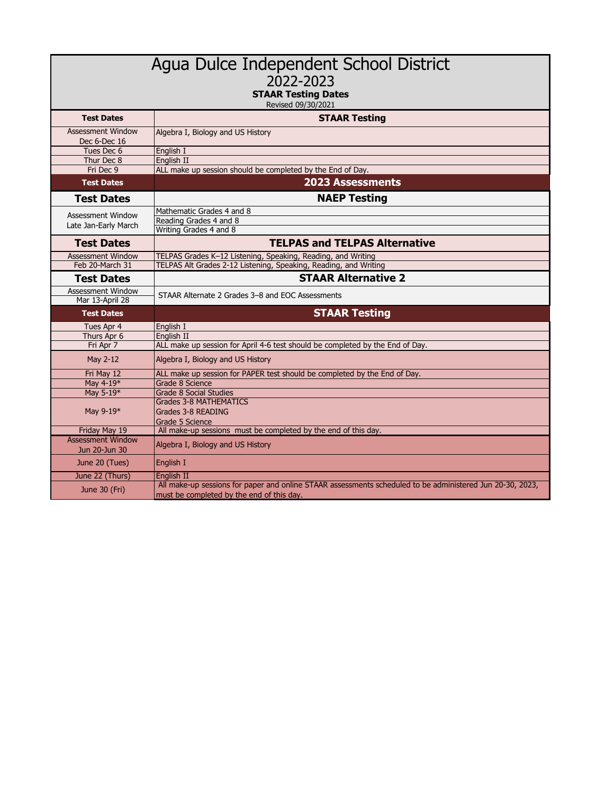| Agua Dulce Independent School District<br>2022-2023<br><b>STAAR Testing Dates</b><br>Revised 09/30/2021 |                                                                                                                                                        |  |  |  |  |  |  |  |
|---------------------------------------------------------------------------------------------------------|--------------------------------------------------------------------------------------------------------------------------------------------------------|--|--|--|--|--|--|--|
| <b>Test Dates</b>                                                                                       | <b>STAAR Testing</b>                                                                                                                                   |  |  |  |  |  |  |  |
| <b>Assessment Window</b><br>Dec 6-Dec 16                                                                | Algebra I, Biology and US History                                                                                                                      |  |  |  |  |  |  |  |
| Tues Dec 6                                                                                              | English I                                                                                                                                              |  |  |  |  |  |  |  |
| Thur Dec 8<br>Fri Dec 9                                                                                 | English II<br>ALL make up session should be completed by the End of Day.                                                                               |  |  |  |  |  |  |  |
| <b>Test Dates</b>                                                                                       | <b>2023 Assessments</b>                                                                                                                                |  |  |  |  |  |  |  |
| <b>Test Dates</b>                                                                                       | <b>NAEP Testing</b>                                                                                                                                    |  |  |  |  |  |  |  |
| Assessment Window<br>Late Jan-Early March                                                               | Mathematic Grades 4 and 8<br>Reading Grades 4 and 8<br>Writing Grades 4 and 8                                                                          |  |  |  |  |  |  |  |
| <b>Test Dates</b>                                                                                       | <b>TELPAS and TELPAS Alternative</b>                                                                                                                   |  |  |  |  |  |  |  |
| <b>Assessment Window</b>                                                                                | TELPAS Grades K-12 Listening, Speaking, Reading, and Writing                                                                                           |  |  |  |  |  |  |  |
| Feb 20-March 31                                                                                         | TELPAS Alt Grades 2-12 Listening, Speaking, Reading, and Writing                                                                                       |  |  |  |  |  |  |  |
| <b>Test Dates</b>                                                                                       | <b>STAAR Alternative 2</b>                                                                                                                             |  |  |  |  |  |  |  |
| Assessment Window<br>Mar 13-April 28                                                                    | STAAR Alternate 2 Grades 3-8 and EOC Assessments                                                                                                       |  |  |  |  |  |  |  |
| <b>Test Dates</b>                                                                                       | <b>STAAR Testing</b>                                                                                                                                   |  |  |  |  |  |  |  |
| Tues Apr 4                                                                                              | English I                                                                                                                                              |  |  |  |  |  |  |  |
| Thurs Apr 6<br>Fri Apr 7                                                                                | English II<br>ALL make up session for April 4-6 test should be completed by the End of Day.                                                            |  |  |  |  |  |  |  |
| May 2-12                                                                                                | Algebra I, Biology and US History                                                                                                                      |  |  |  |  |  |  |  |
| Fri May 12                                                                                              | ALL make up session for PAPER test should be completed by the End of Day.                                                                              |  |  |  |  |  |  |  |
| May 4-19*                                                                                               | Grade 8 Science                                                                                                                                        |  |  |  |  |  |  |  |
| May 5-19*                                                                                               | <b>Grade 8 Social Studies</b>                                                                                                                          |  |  |  |  |  |  |  |
| May 9-19*                                                                                               | <b>Grades 3-8 MATHEMATICS</b><br>Grades 3-8 READING<br>Grade 5 Science                                                                                 |  |  |  |  |  |  |  |
| Friday May 19                                                                                           | All make-up sessions must be completed by the end of this day.                                                                                         |  |  |  |  |  |  |  |
| <b>Assessment Window</b><br>Jun 20-Jun 30                                                               | Algebra I, Biology and US History                                                                                                                      |  |  |  |  |  |  |  |
| June 20 (Tues)                                                                                          | English I                                                                                                                                              |  |  |  |  |  |  |  |
| June 22 (Thurs)                                                                                         | English II                                                                                                                                             |  |  |  |  |  |  |  |
| June 30 (Fri)                                                                                           | All make-up sessions for paper and online STAAR assessments scheduled to be administered Jun 20-30, 2023,<br>must be completed by the end of this day. |  |  |  |  |  |  |  |